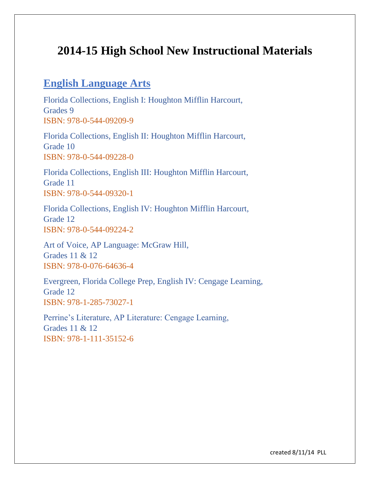## **2014-15 High School New Instructional Materials**

## **English Language Arts**

Florida Collections, English I: Houghton Mifflin Harcourt, Grades 9 ISBN: 978-0-544-09209-9

Florida Collections, English II: Houghton Mifflin Harcourt, Grade 10 ISBN: 978-0-544-09228-0

Florida Collections, English III: Houghton Mifflin Harcourt, Grade 11 ISBN: 978-0-544-09320-1

Florida Collections, English IV: Houghton Mifflin Harcourt, Grade 12 ISBN: 978-0-544-09224-2

Art of Voice, AP Language: McGraw Hill, Grades 11 & 12 ISBN: 978-0-076-64636-4

Evergreen, Florida College Prep, English IV: Cengage Learning, Grade 12 ISBN: 978-1-285-73027-1

Perrine's Literature, AP Literature: Cengage Learning, Grades 11 & 12 ISBN: 978-1-111-35152-6

created 8/11/14 PLL